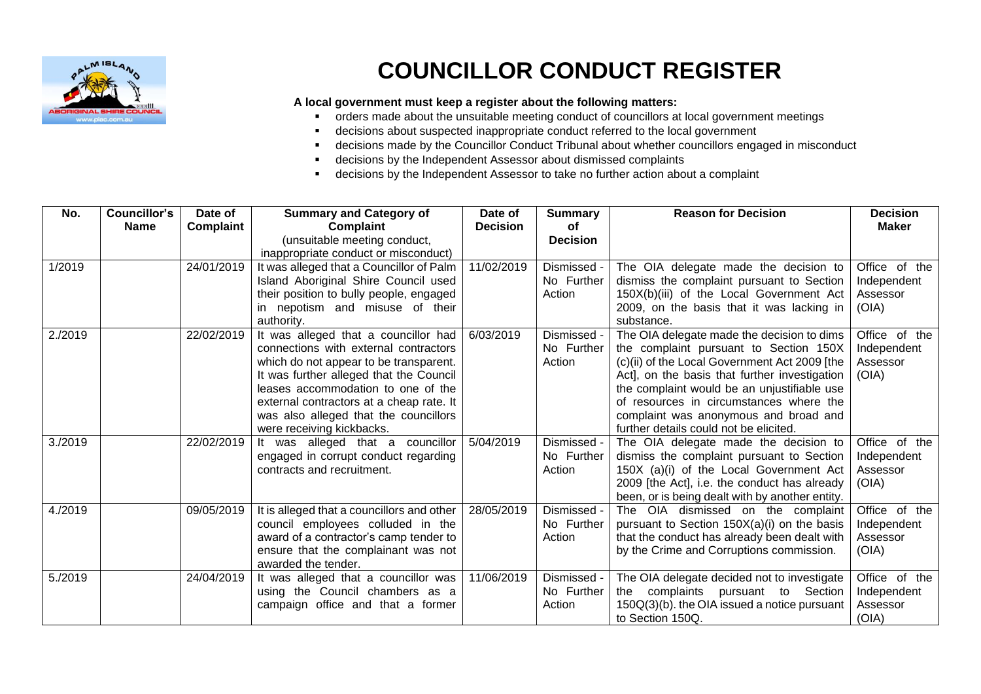

## **COUNCILLOR CONDUCT REGISTER**

## **A local government must keep a register about the following matters:**

- orders made about the unsuitable meeting conduct of councillors at local government meetings
- decisions about suspected inappropriate conduct referred to the local government
- decisions made by the Councillor Conduct Tribunal about whether councillors engaged in misconduct
- decisions by the Independent Assessor about dismissed complaints
- decisions by the Independent Assessor to take no further action about a complaint

| No.     | <b>Councillor's</b><br><b>Name</b> | Date of<br>Complaint | <b>Summary and Category of</b><br>Complaint                                                                                                                                                                                                                                                                                | Date of<br><b>Decision</b> | <b>Summary</b><br>оf                | <b>Reason for Decision</b>                                                                                                                                                                                                                                                                                                                                          | <b>Decision</b><br>Maker                          |
|---------|------------------------------------|----------------------|----------------------------------------------------------------------------------------------------------------------------------------------------------------------------------------------------------------------------------------------------------------------------------------------------------------------------|----------------------------|-------------------------------------|---------------------------------------------------------------------------------------------------------------------------------------------------------------------------------------------------------------------------------------------------------------------------------------------------------------------------------------------------------------------|---------------------------------------------------|
|         |                                    |                      | (unsuitable meeting conduct,<br>inappropriate conduct or misconduct)                                                                                                                                                                                                                                                       |                            | <b>Decision</b>                     |                                                                                                                                                                                                                                                                                                                                                                     |                                                   |
| 1/2019  |                                    | 24/01/2019           | It was alleged that a Councillor of Palm<br>Island Aboriginal Shire Council used<br>their position to bully people, engaged<br>in nepotism and misuse of their<br>authority.                                                                                                                                               | 11/02/2019                 | Dismissed -<br>No Further<br>Action | The OIA delegate made the decision to<br>dismiss the complaint pursuant to Section<br>150X(b)(iii) of the Local Government Act<br>2009, on the basis that it was lacking in<br>substance.                                                                                                                                                                           | Office of the<br>Independent<br>Assessor<br>(OIA) |
| 2./2019 |                                    | 22/02/2019           | It was alleged that a councillor had<br>connections with external contractors<br>which do not appear to be transparent.<br>It was further alleged that the Council<br>leases accommodation to one of the<br>external contractors at a cheap rate. It<br>was also alleged that the councillors<br>were receiving kickbacks. | 6/03/2019                  | Dismissed -<br>No Further<br>Action | The OIA delegate made the decision to dims<br>the complaint pursuant to Section 150X<br>(c)(ii) of the Local Government Act 2009 [the<br>Act], on the basis that further investigation<br>the complaint would be an unjustifiable use<br>of resources in circumstances where the<br>complaint was anonymous and broad and<br>further details could not be elicited. | Office of the<br>Independent<br>Assessor<br>(OIA) |
| 3./2019 |                                    | 22/02/2019           | It was alleged that a councillor<br>engaged in corrupt conduct regarding<br>contracts and recruitment.                                                                                                                                                                                                                     | 5/04/2019                  | Dismissed -<br>No Further<br>Action | The OIA delegate made the decision to<br>dismiss the complaint pursuant to Section<br>150X (a)(i) of the Local Government Act<br>2009 [the Act], i.e. the conduct has already<br>been, or is being dealt with by another entity.                                                                                                                                    | Office of the<br>Independent<br>Assessor<br>(OIA) |
| 4./2019 |                                    | 09/05/2019           | It is alleged that a councillors and other<br>council employees colluded in the<br>award of a contractor's camp tender to<br>ensure that the complainant was not<br>awarded the tender.                                                                                                                                    | 28/05/2019                 | Dismissed -<br>No Further<br>Action | The OIA dismissed on the complaint<br>pursuant to Section 150X(a)(i) on the basis<br>that the conduct has already been dealt with<br>by the Crime and Corruptions commission.                                                                                                                                                                                       | Office of the<br>Independent<br>Assessor<br>(OIA) |
| 5./2019 |                                    | 24/04/2019           | It was alleged that a councillor was  <br>using the Council chambers as a<br>campaign office and that a former                                                                                                                                                                                                             | 11/06/2019                 | Dismissed -<br>No Further<br>Action | The OIA delegate decided not to investigate<br>the complaints pursuant to Section<br>150Q(3)(b), the OIA issued a notice pursuant<br>to Section 150Q.                                                                                                                                                                                                               | Office of the<br>Independent<br>Assessor<br>(OIA) |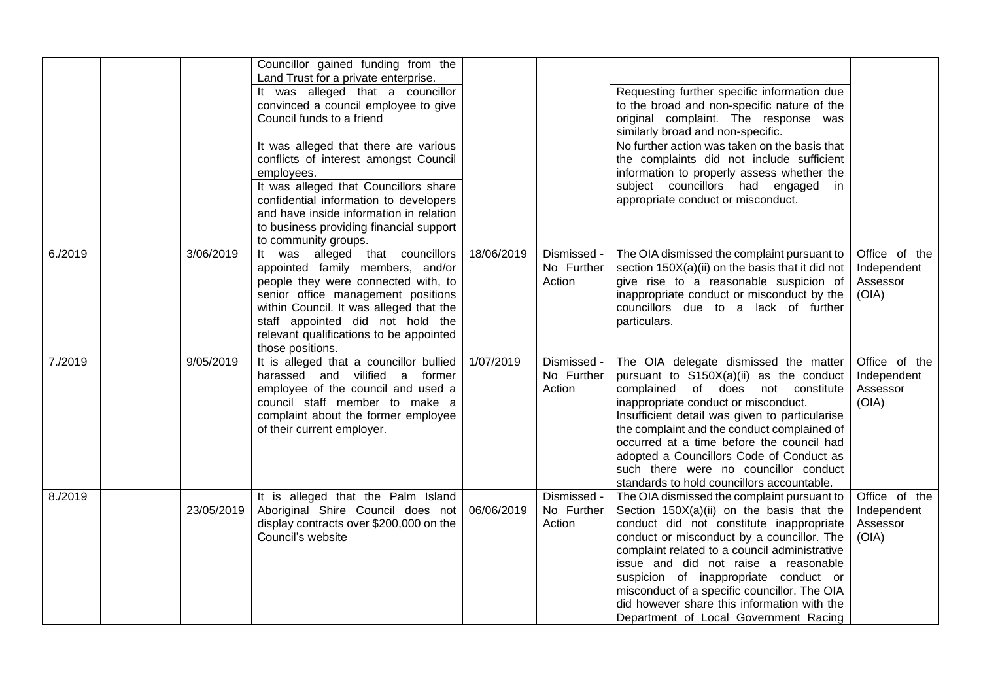|         |            | Councillor gained funding from the<br>Land Trust for a private enterprise.<br>It was alleged that a councillor<br>convinced a council employee to give<br>Council funds to a friend<br>It was alleged that there are various<br>conflicts of interest amongst Council<br>employees.<br>It was alleged that Councillors share<br>confidential information to developers<br>and have inside information in relation<br>to business providing financial support<br>to community groups. |            |                                     | Requesting further specific information due<br>to the broad and non-specific nature of the<br>original complaint. The response was<br>similarly broad and non-specific.<br>No further action was taken on the basis that<br>the complaints did not include sufficient<br>information to properly assess whether the<br>subject councillors had engaged<br>- in<br>appropriate conduct or misconduct.                                                         |                                                   |
|---------|------------|--------------------------------------------------------------------------------------------------------------------------------------------------------------------------------------------------------------------------------------------------------------------------------------------------------------------------------------------------------------------------------------------------------------------------------------------------------------------------------------|------------|-------------------------------------|--------------------------------------------------------------------------------------------------------------------------------------------------------------------------------------------------------------------------------------------------------------------------------------------------------------------------------------------------------------------------------------------------------------------------------------------------------------|---------------------------------------------------|
| 6./2019 | 3/06/2019  | was alleged that councillors<br>It i<br>appointed family members, and/or<br>people they were connected with, to<br>senior office management positions<br>within Council. It was alleged that the<br>staff appointed did not hold the<br>relevant qualifications to be appointed<br>those positions.                                                                                                                                                                                  | 18/06/2019 | Dismissed -<br>No Further<br>Action | The OIA dismissed the complaint pursuant to<br>section 150X(a)(ii) on the basis that it did not<br>give rise to a reasonable suspicion of<br>inappropriate conduct or misconduct by the<br>councillors due to a lack of further<br>particulars.                                                                                                                                                                                                              | Office of the<br>Independent<br>Assessor<br>(OIA) |
| 7./2019 | 9/05/2019  | It is alleged that a councillor bullied<br>harassed and vilified a former<br>employee of the council and used a<br>council staff member to make a<br>complaint about the former employee<br>of their current employer.                                                                                                                                                                                                                                                               | 1/07/2019  | Dismissed -<br>No Further<br>Action | The OIA delegate dismissed the matter<br>pursuant to S150X(a)(ii) as the conduct<br>complained of does not constitute<br>inappropriate conduct or misconduct.<br>Insufficient detail was given to particularise<br>the complaint and the conduct complained of<br>occurred at a time before the council had<br>adopted a Councillors Code of Conduct as<br>such there were no councillor conduct<br>standards to hold councillors accountable.               | Office of the<br>Independent<br>Assessor<br>(OIA) |
| 8./2019 | 23/05/2019 | It is alleged that the Palm Island<br>Aboriginal Shire Council does not<br>display contracts over \$200,000 on the<br>Council's website                                                                                                                                                                                                                                                                                                                                              | 06/06/2019 | Dismissed -<br>No Further<br>Action | The OIA dismissed the complaint pursuant to<br>Section 150X(a)(ii) on the basis that the<br>conduct did not constitute inappropriate<br>conduct or misconduct by a councillor. The<br>complaint related to a council administrative<br>issue and did not raise a reasonable<br>suspicion of inappropriate conduct or<br>misconduct of a specific councillor. The OIA<br>did however share this information with the<br>Department of Local Government Racing | Office of the<br>Independent<br>Assessor<br>(OIA) |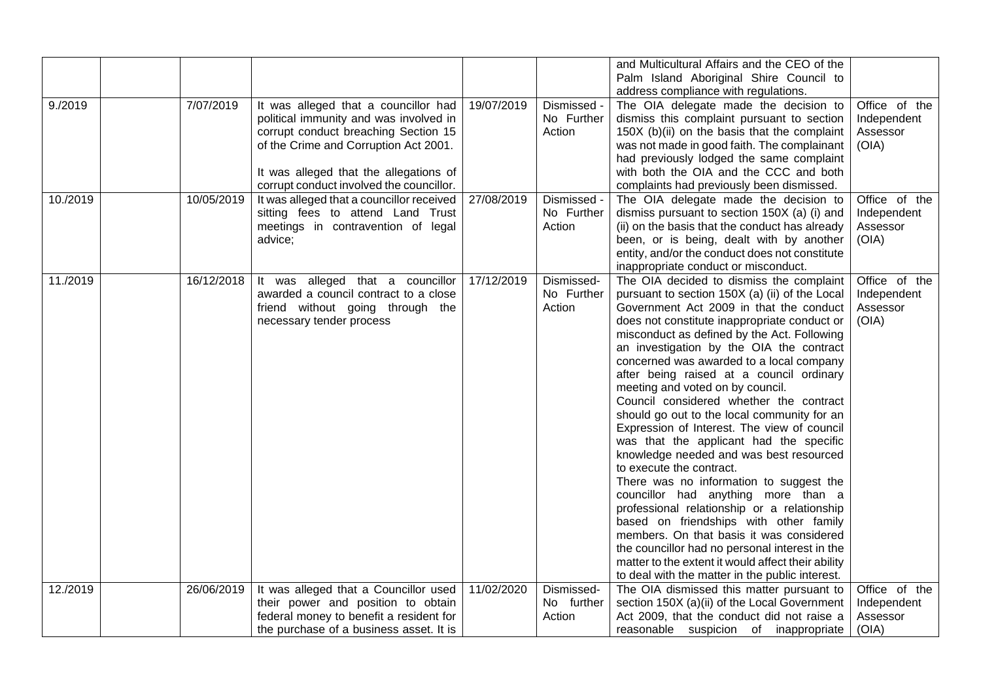| 9./2019  | 7/07/2019  | It was alleged that a councillor had                                                                                                                                                                          | 19/07/2019 | Dismissed -                         | and Multicultural Affairs and the CEO of the<br>Palm Island Aboriginal Shire Council to<br>address compliance with regulations.<br>The OIA delegate made the decision to                                                                                                                                                                                                                                                                                                                                                                                                                                                                                                                                                                                                                                                                                                                                                                                                                                                                                  | Office of the                                     |
|----------|------------|---------------------------------------------------------------------------------------------------------------------------------------------------------------------------------------------------------------|------------|-------------------------------------|-----------------------------------------------------------------------------------------------------------------------------------------------------------------------------------------------------------------------------------------------------------------------------------------------------------------------------------------------------------------------------------------------------------------------------------------------------------------------------------------------------------------------------------------------------------------------------------------------------------------------------------------------------------------------------------------------------------------------------------------------------------------------------------------------------------------------------------------------------------------------------------------------------------------------------------------------------------------------------------------------------------------------------------------------------------|---------------------------------------------------|
|          |            | political immunity and was involved in<br>corrupt conduct breaching Section 15<br>of the Crime and Corruption Act 2001.<br>It was alleged that the allegations of<br>corrupt conduct involved the councillor. |            | No Further<br>Action                | dismiss this complaint pursuant to section<br>150X (b)(ii) on the basis that the complaint<br>was not made in good faith. The complainant<br>had previously lodged the same complaint<br>with both the OIA and the CCC and both<br>complaints had previously been dismissed.                                                                                                                                                                                                                                                                                                                                                                                                                                                                                                                                                                                                                                                                                                                                                                              | Independent<br>Assessor<br>(OIA)                  |
| 10./2019 | 10/05/2019 | It was alleged that a councillor received<br>sitting fees to attend Land Trust<br>meetings in contravention of legal<br>advice;                                                                               | 27/08/2019 | Dismissed -<br>No Further<br>Action | The OIA delegate made the decision to<br>dismiss pursuant to section 150X (a) (i) and<br>(ii) on the basis that the conduct has already<br>been, or is being, dealt with by another<br>entity, and/or the conduct does not constitute<br>inappropriate conduct or misconduct.                                                                                                                                                                                                                                                                                                                                                                                                                                                                                                                                                                                                                                                                                                                                                                             | Office of the<br>Independent<br>Assessor<br>(OIA) |
| 11./2019 | 16/12/2018 | It was alleged that a councillor<br>awarded a council contract to a close<br>friend without going through the<br>necessary tender process                                                                     | 17/12/2019 | Dismissed-<br>No Further<br>Action  | The OIA decided to dismiss the complaint<br>pursuant to section 150X (a) (ii) of the Local<br>Government Act 2009 in that the conduct<br>does not constitute inappropriate conduct or<br>misconduct as defined by the Act. Following<br>an investigation by the OIA the contract<br>concerned was awarded to a local company<br>after being raised at a council ordinary<br>meeting and voted on by council.<br>Council considered whether the contract<br>should go out to the local community for an<br>Expression of Interest. The view of council<br>was that the applicant had the specific<br>knowledge needed and was best resourced<br>to execute the contract.<br>There was no information to suggest the<br>councillor had anything more than a<br>professional relationship or a relationship<br>based on friendships with other family<br>members. On that basis it was considered<br>the councillor had no personal interest in the<br>matter to the extent it would affect their ability<br>to deal with the matter in the public interest. | Office of the<br>Independent<br>Assessor<br>(OIA) |
| 12./2019 | 26/06/2019 | It was alleged that a Councillor used<br>their power and position to obtain                                                                                                                                   | 11/02/2020 | Dismissed-<br>No further            | The OIA dismissed this matter pursuant to<br>section 150X (a)(ii) of the Local Government                                                                                                                                                                                                                                                                                                                                                                                                                                                                                                                                                                                                                                                                                                                                                                                                                                                                                                                                                                 | Office of the<br>Independent                      |
|          |            | federal money to benefit a resident for<br>the purchase of a business asset. It is                                                                                                                            |            | Action                              | Act 2009, that the conduct did not raise a<br>reasonable suspicion of inappropriate                                                                                                                                                                                                                                                                                                                                                                                                                                                                                                                                                                                                                                                                                                                                                                                                                                                                                                                                                                       | Assessor<br>(OIA)                                 |